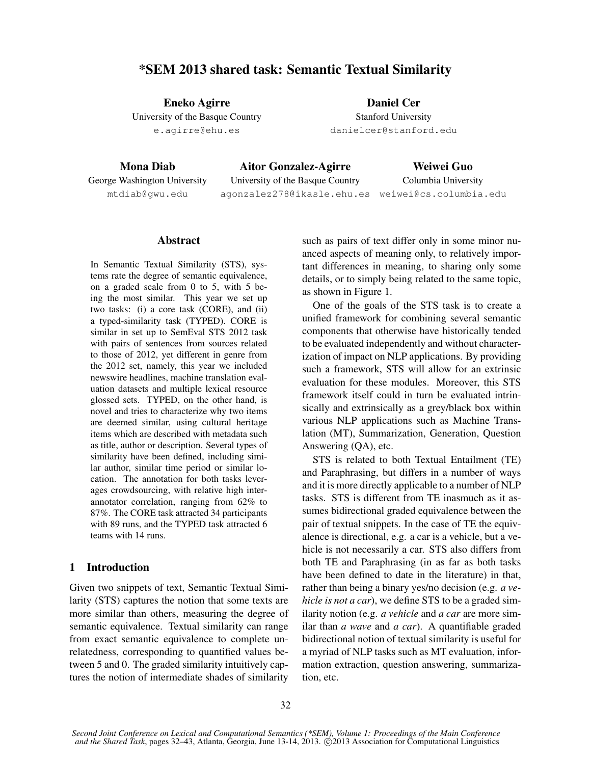# \*SEM 2013 shared task: Semantic Textual Similarity

Eneko Agirre University of the Basque Country e.agirre@ehu.es

Daniel Cer Stanford University danielcer@stanford.edu

Mona Diab George Washington University mtdiab@gwu.edu

Aitor Gonzalez-Agirre University of the Basque Country agonzalez278@ikasle.ehu.es weiwei@cs.columbia.edu

Weiwei Guo Columbia University

## **Abstract**

In Semantic Textual Similarity (STS), systems rate the degree of semantic equivalence, on a graded scale from 0 to 5, with 5 being the most similar. This year we set up two tasks: (i) a core task (CORE), and (ii) a typed-similarity task (TYPED). CORE is similar in set up to SemEval STS 2012 task with pairs of sentences from sources related to those of 2012, yet different in genre from the 2012 set, namely, this year we included newswire headlines, machine translation evaluation datasets and multiple lexical resource glossed sets. TYPED, on the other hand, is novel and tries to characterize why two items are deemed similar, using cultural heritage items which are described with metadata such as title, author or description. Several types of similarity have been defined, including similar author, similar time period or similar location. The annotation for both tasks leverages crowdsourcing, with relative high interannotator correlation, ranging from 62% to 87%. The CORE task attracted 34 participants with 89 runs, and the TYPED task attracted 6 teams with 14 runs.

## 1 Introduction

Given two snippets of text, Semantic Textual Similarity (STS) captures the notion that some texts are more similar than others, measuring the degree of semantic equivalence. Textual similarity can range from exact semantic equivalence to complete unrelatedness, corresponding to quantified values between 5 and 0. The graded similarity intuitively captures the notion of intermediate shades of similarity such as pairs of text differ only in some minor nuanced aspects of meaning only, to relatively important differences in meaning, to sharing only some details, or to simply being related to the same topic, as shown in Figure 1.

One of the goals of the STS task is to create a unified framework for combining several semantic components that otherwise have historically tended to be evaluated independently and without characterization of impact on NLP applications. By providing such a framework, STS will allow for an extrinsic evaluation for these modules. Moreover, this STS framework itself could in turn be evaluated intrinsically and extrinsically as a grey/black box within various NLP applications such as Machine Translation (MT), Summarization, Generation, Question Answering (QA), etc.

STS is related to both Textual Entailment (TE) and Paraphrasing, but differs in a number of ways and it is more directly applicable to a number of NLP tasks. STS is different from TE inasmuch as it assumes bidirectional graded equivalence between the pair of textual snippets. In the case of TE the equivalence is directional, e.g. a car is a vehicle, but a vehicle is not necessarily a car. STS also differs from both TE and Paraphrasing (in as far as both tasks have been defined to date in the literature) in that, rather than being a binary yes/no decision (e.g. *a vehicle is not a car*), we define STS to be a graded similarity notion (e.g. *a vehicle* and *a car* are more similar than *a wave* and *a car*). A quantifiable graded bidirectional notion of textual similarity is useful for a myriad of NLP tasks such as MT evaluation, information extraction, question answering, summarization, etc.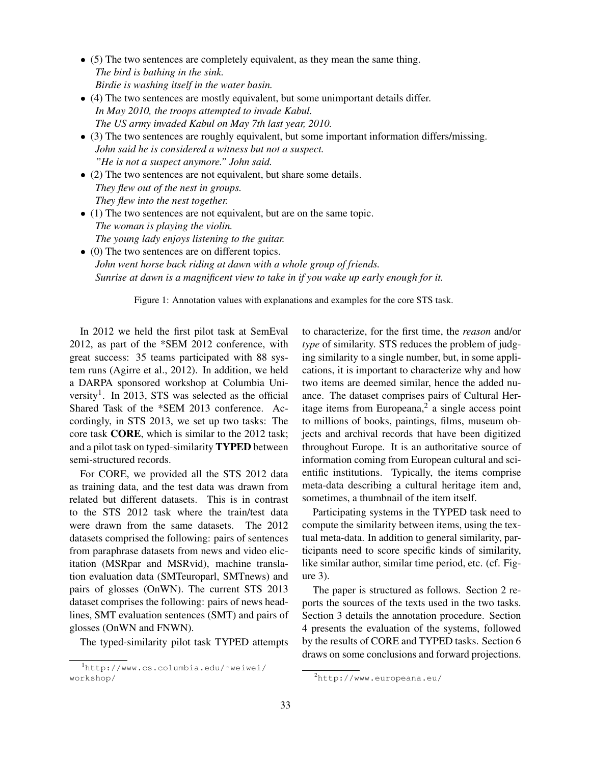- (5) The two sentences are completely equivalent, as they mean the same thing. *The bird is bathing in the sink. Birdie is washing itself in the water basin.*
- (4) The two sentences are mostly equivalent, but some unimportant details differ. *In May 2010, the troops attempted to invade Kabul. The US army invaded Kabul on May 7th last year, 2010.*
- (3) The two sentences are roughly equivalent, but some important information differs/missing. *John said he is considered a witness but not a suspect. "He is not a suspect anymore." John said.*
- (2) The two sentences are not equivalent, but share some details. *They flew out of the nest in groups. They flew into the nest together.*
- (1) The two sentences are not equivalent, but are on the same topic. *The woman is playing the violin. The young lady enjoys listening to the guitar.*
- (0) The two sentences are on different topics. *John went horse back riding at dawn with a whole group of friends. Sunrise at dawn is a magnificent view to take in if you wake up early enough for it.*

Figure 1: Annotation values with explanations and examples for the core STS task.

In 2012 we held the first pilot task at SemEval 2012, as part of the \*SEM 2012 conference, with great success: 35 teams participated with 88 system runs (Agirre et al., 2012). In addition, we held a DARPA sponsored workshop at Columbia University<sup>1</sup>. In 2013, STS was selected as the official Shared Task of the \*SEM 2013 conference. Accordingly, in STS 2013, we set up two tasks: The core task CORE, which is similar to the 2012 task; and a pilot task on typed-similarity TYPED between semi-structured records.

For CORE, we provided all the STS 2012 data as training data, and the test data was drawn from related but different datasets. This is in contrast to the STS 2012 task where the train/test data were drawn from the same datasets. The 2012 datasets comprised the following: pairs of sentences from paraphrase datasets from news and video elicitation (MSRpar and MSRvid), machine translation evaluation data (SMTeuroparl, SMTnews) and pairs of glosses (OnWN). The current STS 2013 dataset comprises the following: pairs of news headlines, SMT evaluation sentences (SMT) and pairs of glosses (OnWN and FNWN).

The typed-similarity pilot task TYPED attempts

to characterize, for the first time, the *reason* and/or *type* of similarity. STS reduces the problem of judging similarity to a single number, but, in some applications, it is important to characterize why and how two items are deemed similar, hence the added nuance. The dataset comprises pairs of Cultural Heritage items from Europeana, $2$  a single access point to millions of books, paintings, films, museum objects and archival records that have been digitized throughout Europe. It is an authoritative source of information coming from European cultural and scientific institutions. Typically, the items comprise meta-data describing a cultural heritage item and, sometimes, a thumbnail of the item itself.

Participating systems in the TYPED task need to compute the similarity between items, using the textual meta-data. In addition to general similarity, participants need to score specific kinds of similarity, like similar author, similar time period, etc. (cf. Figure 3).

The paper is structured as follows. Section 2 reports the sources of the texts used in the two tasks. Section 3 details the annotation procedure. Section 4 presents the evaluation of the systems, followed by the results of CORE and TYPED tasks. Section 6 draws on some conclusions and forward projections.

<sup>1</sup>http://www.cs.columbia.edu/˜weiwei/ workshop/

<sup>2</sup>http://www.europeana.eu/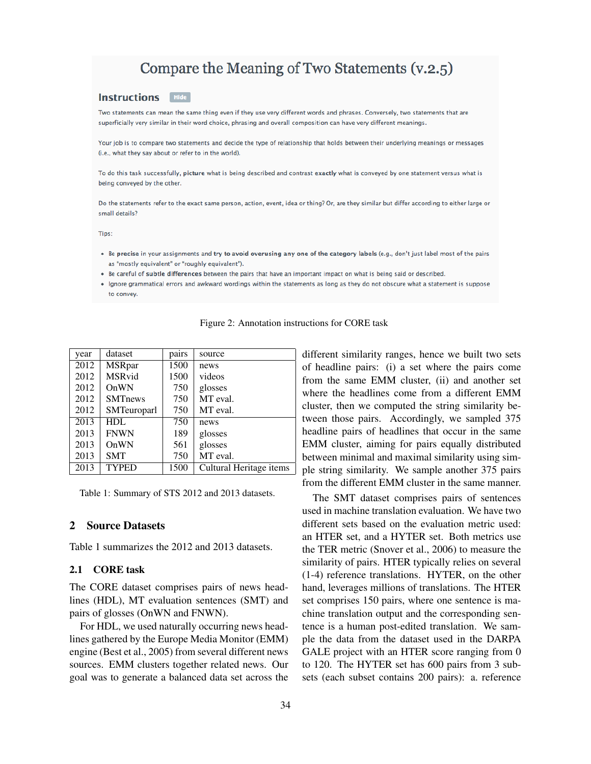# Compare the Meaning of Two Statements (v.2.5)

#### **Instructions Hide**

Two statements can mean the same thing even if they use very different words and phrases. Conversely, two statements that are superficially very similar in their word choice, phrasing and overall composition can have very different meanings.

Your job is to compare two statements and decide the type of relationship that holds between their underlying meanings or messages (i.e., what they say about or refer to in the world).

To do this task successfully, picture what is being described and contrast exactly what is conveyed by one statement versus what is being conveyed by the other.

Do the statements refer to the exact same person, action, event, idea or thing? Or, are they similar but differ according to either large or small details?

Tips:

- . Be precise in your assignments and try to avoid overusing any one of the category labels (e.g., don't just label most of the pairs as "mostly equivalent" or "roughly equivalent").
- . Be careful of subtle differences between the pairs that have an important impact on what is being said or described.
- Ignore grammatical errors and awkward wordings within the statements as long as they do not obscure what a statement is suppose to convey.

| year | dataset        | pairs | source                  |
|------|----------------|-------|-------------------------|
| 2012 | <b>MSRpar</b>  | 1500  | news                    |
| 2012 | <b>MSRvid</b>  | 1500  | videos                  |
| 2012 | OnWN           | 750   | glosses                 |
| 2012 | <b>SMTnews</b> | 750   | MT eval.                |
| 2012 | SMTeuroparl    | 750   | MT eval.                |
| 2013 | <b>HDL</b>     | 750   | news                    |
| 2013 | <b>FNWN</b>    | 189   | glosses                 |
| 2013 | OnWN           | 561   | glosses                 |
| 2013 | <b>SMT</b>     | 750   | MT eval.                |
| 2013 | <b>TYPED</b>   | 1500  | Cultural Heritage items |

Figure 2: Annotation instructions for CORE task

different similarity ranges, hence we built two sets of headline pairs: (i) a set where the pairs come from the same EMM cluster, (ii) and another set where the headlines come from a different EMM cluster, then we computed the string similarity between those pairs. Accordingly, we sampled 375 headline pairs of headlines that occur in the same EMM cluster, aiming for pairs equally distributed between minimal and maximal similarity using simple string similarity. We sample another 375 pairs from the different EMM cluster in the same manner.

The SMT dataset comprises pairs of sentences used in machine translation evaluation. We have two different sets based on the evaluation metric used: an HTER set, and a HYTER set. Both metrics use the TER metric (Snover et al., 2006) to measure the similarity of pairs. HTER typically relies on several (1-4) reference translations. HYTER, on the other hand, leverages millions of translations. The HTER set comprises 150 pairs, where one sentence is machine translation output and the corresponding sentence is a human post-edited translation. We sample the data from the dataset used in the DARPA GALE project with an HTER score ranging from 0 to 120. The HYTER set has 600 pairs from 3 subsets (each subset contains 200 pairs): a. reference

Table 1: Summary of STS 2012 and 2013 datasets.

# 2 Source Datasets

Table 1 summarizes the 2012 and 2013 datasets.

#### 2.1 CORE task

The CORE dataset comprises pairs of news headlines (HDL), MT evaluation sentences (SMT) and pairs of glosses (OnWN and FNWN).

For HDL, we used naturally occurring news headlines gathered by the Europe Media Monitor (EMM) engine (Best et al., 2005) from several different news sources. EMM clusters together related news. Our goal was to generate a balanced data set across the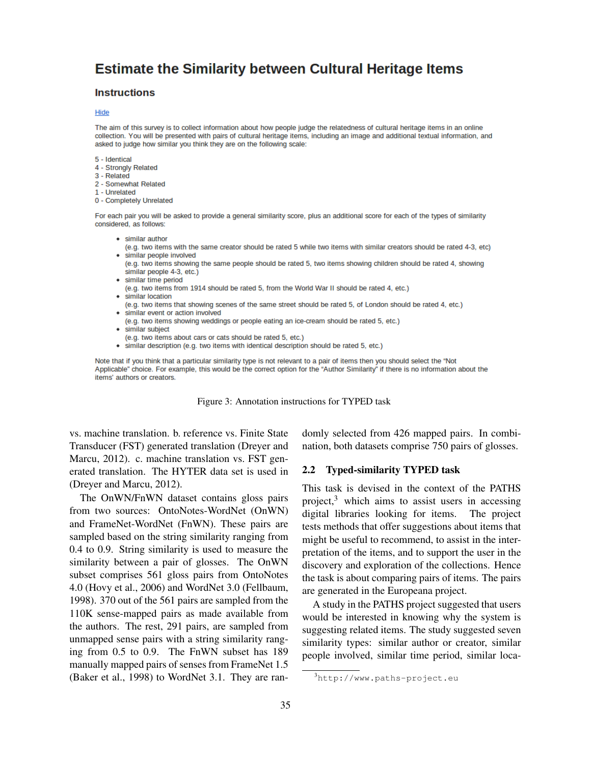# **Estimate the Similarity between Cultural Heritage Items**

#### **Instructions**

#### Hide

The aim of this survey is to collect information about how people judge the relatedness of cultural heritage items in an online collection. You will be presented with pairs of cultural heritage items, including an image and additional textual information, and asked to judge how similar you think they are on the following scale:

- 5 Identical
- 4 Strongly Related
- 3 Related
- 2 Somewhat Related
- 1 Unrelated
- 0 Completely Unrelated

For each pair you will be asked to provide a general similarity score, plus an additional score for each of the types of similarity considered, as follows:

- similar author
- (e.g. two items with the same creator should be rated 5 while two items with similar creators should be rated 4-3, etc) • similar people involved
- (e.g. two items showing the same people should be rated 5, two items showing children should be rated 4, showing similar people 4-3, etc.)
- similar time period
- (e.g. two items from 1914 should be rated 5, from the World War II should be rated 4, etc.) • similar location
- (e.g. two items that showing scenes of the same street should be rated 5, of London should be rated 4, etc.)
- similar event or action involved
- (e.g. two items showing weddings or people eating an ice-cream should be rated 5, etc.)
- similar subject
- (e.g. two items about cars or cats should be rated 5, etc.)
- · similar description (e.g. two items with identical description should be rated 5, etc.)

Note that if you think that a particular similarity type is not relevant to a pair of items then you should select the "Not Applicable" choice. For example, this would be the correct option for the "Author Similarity" if there is no information about the items' authors or creators.

Figure 3: Annotation instructions for TYPED task

vs. machine translation. b. reference vs. Finite State Transducer (FST) generated translation (Dreyer and Marcu, 2012). c. machine translation vs. FST generated translation. The HYTER data set is used in (Dreyer and Marcu, 2012).

The OnWN/FnWN dataset contains gloss pairs from two sources: OntoNotes-WordNet (OnWN) and FrameNet-WordNet (FnWN). These pairs are sampled based on the string similarity ranging from 0.4 to 0.9. String similarity is used to measure the similarity between a pair of glosses. The OnWN subset comprises 561 gloss pairs from OntoNotes 4.0 (Hovy et al., 2006) and WordNet 3.0 (Fellbaum, 1998). 370 out of the 561 pairs are sampled from the 110K sense-mapped pairs as made available from the authors. The rest, 291 pairs, are sampled from unmapped sense pairs with a string similarity ranging from 0.5 to 0.9. The FnWN subset has 189 manually mapped pairs of senses from FrameNet 1.5 (Baker et al., 1998) to WordNet 3.1. They are randomly selected from 426 mapped pairs. In combination, both datasets comprise 750 pairs of glosses.

#### 2.2 Typed-similarity TYPED task

This task is devised in the context of the PATHS project, $3$  which aims to assist users in accessing digital libraries looking for items. The project tests methods that offer suggestions about items that might be useful to recommend, to assist in the interpretation of the items, and to support the user in the discovery and exploration of the collections. Hence the task is about comparing pairs of items. The pairs are generated in the Europeana project.

A study in the PATHS project suggested that users would be interested in knowing why the system is suggesting related items. The study suggested seven similarity types: similar author or creator, similar people involved, similar time period, similar loca-

<sup>3</sup>http://www.paths-project.eu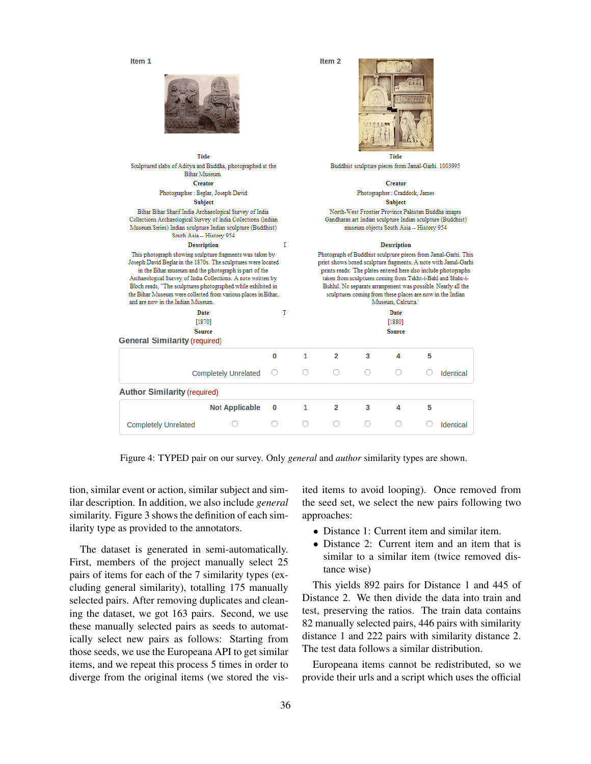Item 1



Title

Sculptured slabs of Aditya and Buddha, photographed at the

Bihar Museum. Creator

Photographer : Beglar, Joseph David

**Subject** Bihar Bihar Sharif India Archaeological Survey of India

Collections Archaeological Survey of India Collections (Indian

Museum Series) Indian sculpture Indian sculpture (Buddhist)

South Asia -- History 954 Description

This photograph showing sculpture fragments was taken by

Joseph David Beglar in the 1870s. The sculptures were located

in the Bihar museum and the photograph is part of the

Archaeological Survey of India Collections. A note written by

Bloch reads. "The sculptures photographed while exhibited in

the Bihar Museum were collected from various places in Bihar,

and are now in the Indian Museo



Item<sub>2</sub>

Title Buddhist sculpture pieces from Jamal-Garhi. 1003995

#### Creator

Photographer : Craddock, James **Subject** 

North-West Frontier Province Pakistan Buddha images

Gandharan art Indian sculpture Indian sculpture (Buddhist) museum objects South Asia -- History 954

#### **Description**

Photograph of Buddhist sculpture pieces from Jamal-Garhi. This print shows boxed sculpture fragments. A note with Jamal-Garhi prints reads: 'The plates entered here also include photographs taken from sculptures coming from Takht-i-Bahl and Shahr-i-Buhlul. No separate arrangement was possible. Nearly all the sculptures coming from these places are now in the Indian .<br>Musaum Calentta

| <b>General Similarity (required)</b> | Date<br>[1870]<br><b>Source</b> | T |   |                |   | Date<br>[1880]<br><b>Source</b> |   |                  |
|--------------------------------------|---------------------------------|---|---|----------------|---|---------------------------------|---|------------------|
|                                      |                                 | 0 | 1 | 2              | 3 | 4                               | 5 |                  |
|                                      | <b>Completely Unrelated</b>     | O | O | ∩              | O | ∩                               |   | <b>Identical</b> |
| <b>Author Similarity (required)</b>  |                                 |   |   |                |   |                                 |   |                  |
|                                      | <b>Not Applicable</b>           | 0 | 1 | $\overline{2}$ | 3 | 4                               | 5 |                  |
| <b>Completely Unrelated</b>          |                                 | Ω | Ω | $\bigcap$      | O | $\bigcirc$                      |   | Identical        |

 $\bf{I}$ 

Figure 4: TYPED pair on our survey. Only *general* and *author* similarity types are shown.

tion, similar event or action, similar subject and similar description. In addition, we also include *general* similarity. Figure 3 shows the definition of each similarity type as provided to the annotators.

The dataset is generated in semi-automatically. First, members of the project manually select 25 pairs of items for each of the 7 similarity types (excluding general similarity), totalling 175 manually selected pairs. After removing duplicates and cleaning the dataset, we got 163 pairs. Second, we use these manually selected pairs as seeds to automatically select new pairs as follows: Starting from those seeds, we use the Europeana API to get similar items, and we repeat this process 5 times in order to diverge from the original items (we stored the visited items to avoid looping). Once removed from the seed set, we select the new pairs following two approaches:

- Distance 1: Current item and similar item.
- Distance 2: Current item and an item that is similar to a similar item (twice removed distance wise)

This yields 892 pairs for Distance 1 and 445 of Distance 2. We then divide the data into train and test, preserving the ratios. The train data contains 82 manually selected pairs, 446 pairs with similarity distance 1 and 222 pairs with similarity distance 2. The test data follows a similar distribution.

Europeana items cannot be redistributed, so we provide their urls and a script which uses the official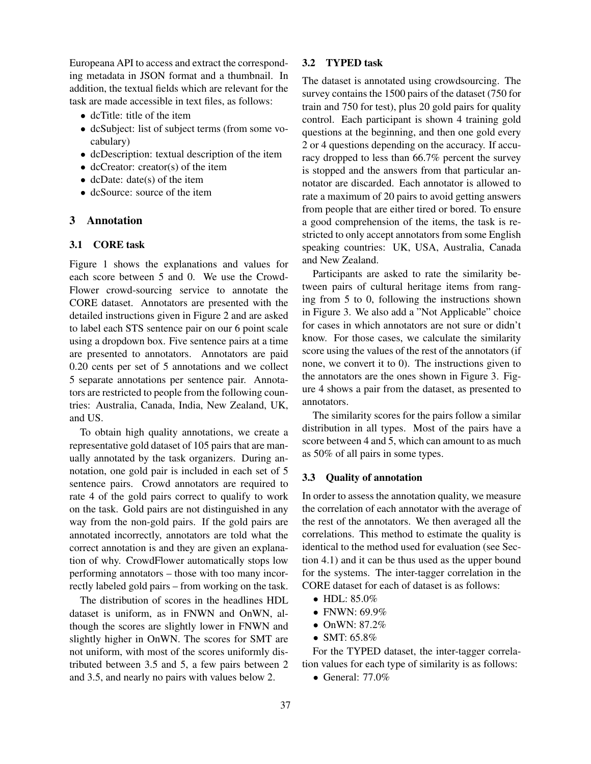Europeana API to access and extract the corresponding metadata in JSON format and a thumbnail. In addition, the textual fields which are relevant for the task are made accessible in text files, as follows:

- dcTitle: title of the item
- dcSubject: list of subject terms (from some vocabulary)
- dcDescription: textual description of the item
- dcCreator: creator(s) of the item
- dcDate: date(s) of the item
- dcSource: source of the item

## 3 Annotation

#### 3.1 CORE task

Figure 1 shows the explanations and values for each score between 5 and 0. We use the Crowd-Flower crowd-sourcing service to annotate the CORE dataset. Annotators are presented with the detailed instructions given in Figure 2 and are asked to label each STS sentence pair on our 6 point scale using a dropdown box. Five sentence pairs at a time are presented to annotators. Annotators are paid 0.20 cents per set of 5 annotations and we collect 5 separate annotations per sentence pair. Annotators are restricted to people from the following countries: Australia, Canada, India, New Zealand, UK, and US.

To obtain high quality annotations, we create a representative gold dataset of 105 pairs that are manually annotated by the task organizers. During annotation, one gold pair is included in each set of 5 sentence pairs. Crowd annotators are required to rate 4 of the gold pairs correct to qualify to work on the task. Gold pairs are not distinguished in any way from the non-gold pairs. If the gold pairs are annotated incorrectly, annotators are told what the correct annotation is and they are given an explanation of why. CrowdFlower automatically stops low performing annotators – those with too many incorrectly labeled gold pairs – from working on the task.

The distribution of scores in the headlines HDL dataset is uniform, as in FNWN and OnWN, although the scores are slightly lower in FNWN and slightly higher in OnWN. The scores for SMT are not uniform, with most of the scores uniformly distributed between 3.5 and 5, a few pairs between 2 and 3.5, and nearly no pairs with values below 2.

### 3.2 TYPED task

The dataset is annotated using crowdsourcing. The survey contains the 1500 pairs of the dataset (750 for train and 750 for test), plus 20 gold pairs for quality control. Each participant is shown 4 training gold questions at the beginning, and then one gold every 2 or 4 questions depending on the accuracy. If accuracy dropped to less than 66.7% percent the survey is stopped and the answers from that particular annotator are discarded. Each annotator is allowed to rate a maximum of 20 pairs to avoid getting answers from people that are either tired or bored. To ensure a good comprehension of the items, the task is restricted to only accept annotators from some English speaking countries: UK, USA, Australia, Canada and New Zealand.

Participants are asked to rate the similarity between pairs of cultural heritage items from ranging from 5 to 0, following the instructions shown in Figure 3. We also add a "Not Applicable" choice for cases in which annotators are not sure or didn't know. For those cases, we calculate the similarity score using the values of the rest of the annotators (if none, we convert it to 0). The instructions given to the annotators are the ones shown in Figure 3. Figure 4 shows a pair from the dataset, as presented to annotators.

The similarity scores for the pairs follow a similar distribution in all types. Most of the pairs have a score between 4 and 5, which can amount to as much as 50% of all pairs in some types.

#### 3.3 Quality of annotation

In order to assess the annotation quality, we measure the correlation of each annotator with the average of the rest of the annotators. We then averaged all the correlations. This method to estimate the quality is identical to the method used for evaluation (see Section 4.1) and it can be thus used as the upper bound for the systems. The inter-tagger correlation in the CORE dataset for each of dataset is as follows:

- HDL: 85.0%
- FNWN: 69.9%
- OnWN: 87.2%
- SMT: 65.8%

For the TYPED dataset, the inter-tagger correlation values for each type of similarity is as follows:

• General:  $77.0\%$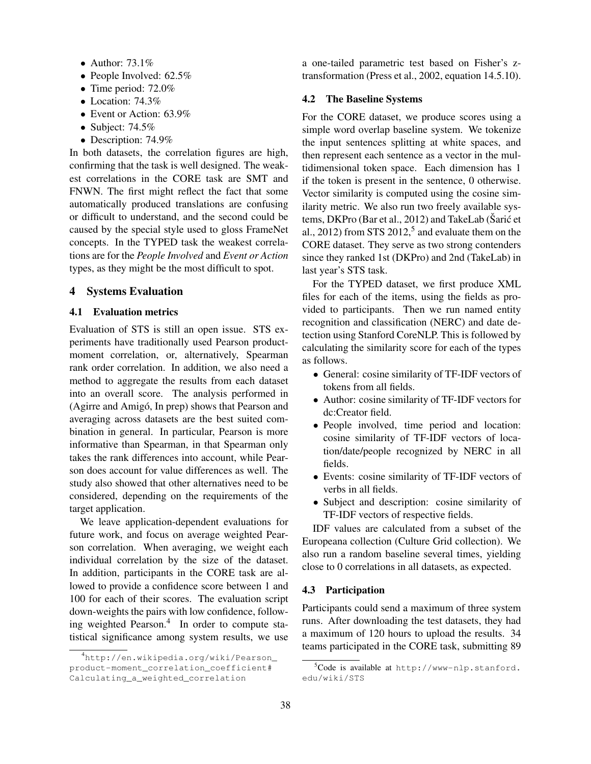- Author:  $73.1\%$
- People Involved: 62.5%
- Time period: 72.0%
- Location: 74.3%
- Event or Action: 63.9%
- Subject: 74.5%
- Description: 74.9%

In both datasets, the correlation figures are high, confirming that the task is well designed. The weakest correlations in the CORE task are SMT and FNWN. The first might reflect the fact that some automatically produced translations are confusing or difficult to understand, and the second could be caused by the special style used to gloss FrameNet concepts. In the TYPED task the weakest correlations are for the *People Involved* and *Event or Action* types, as they might be the most difficult to spot.

## 4 Systems Evaluation

#### 4.1 Evaluation metrics

Evaluation of STS is still an open issue. STS experiments have traditionally used Pearson productmoment correlation, or, alternatively, Spearman rank order correlation. In addition, we also need a method to aggregate the results from each dataset into an overall score. The analysis performed in (Agirre and Amigó, In prep) shows that Pearson and averaging across datasets are the best suited combination in general. In particular, Pearson is more informative than Spearman, in that Spearman only takes the rank differences into account, while Pearson does account for value differences as well. The study also showed that other alternatives need to be considered, depending on the requirements of the target application.

We leave application-dependent evaluations for future work, and focus on average weighted Pearson correlation. When averaging, we weight each individual correlation by the size of the dataset. In addition, participants in the CORE task are allowed to provide a confidence score between 1 and 100 for each of their scores. The evaluation script down-weights the pairs with low confidence, following weighted Pearson.<sup>4</sup> In order to compute statistical significance among system results, we use

a one-tailed parametric test based on Fisher's ztransformation (Press et al., 2002, equation 14.5.10).

#### 4.2 The Baseline Systems

For the CORE dataset, we produce scores using a simple word overlap baseline system. We tokenize the input sentences splitting at white spaces, and then represent each sentence as a vector in the multidimensional token space. Each dimension has 1 if the token is present in the sentence, 0 otherwise. Vector similarity is computed using the cosine similarity metric. We also run two freely available systems, DKPro (Bar et al., 2012) and TakeLab (Šarić et al., 2012) from STS 2012,<sup>5</sup> and evaluate them on the CORE dataset. They serve as two strong contenders since they ranked 1st (DKPro) and 2nd (TakeLab) in last year's STS task.

For the TYPED dataset, we first produce XML files for each of the items, using the fields as provided to participants. Then we run named entity recognition and classification (NERC) and date detection using Stanford CoreNLP. This is followed by calculating the similarity score for each of the types as follows.

- General: cosine similarity of TF-IDF vectors of tokens from all fields.
- Author: cosine similarity of TF-IDF vectors for dc:Creator field.
- People involved, time period and location: cosine similarity of TF-IDF vectors of location/date/people recognized by NERC in all fields.
- Events: cosine similarity of TF-IDF vectors of verbs in all fields.
- Subject and description: cosine similarity of TF-IDF vectors of respective fields.

IDF values are calculated from a subset of the Europeana collection (Culture Grid collection). We also run a random baseline several times, yielding close to 0 correlations in all datasets, as expected.

#### 4.3 Participation

Participants could send a maximum of three system runs. After downloading the test datasets, they had a maximum of 120 hours to upload the results. 34 teams participated in the CORE task, submitting 89

<sup>4</sup>http://en.wikipedia.org/wiki/Pearson\_ product-moment\_correlation\_coefficient# Calculating\_a\_weighted\_correlation

 $5C$ ode is available at http://www-nlp.stanford. edu/wiki/STS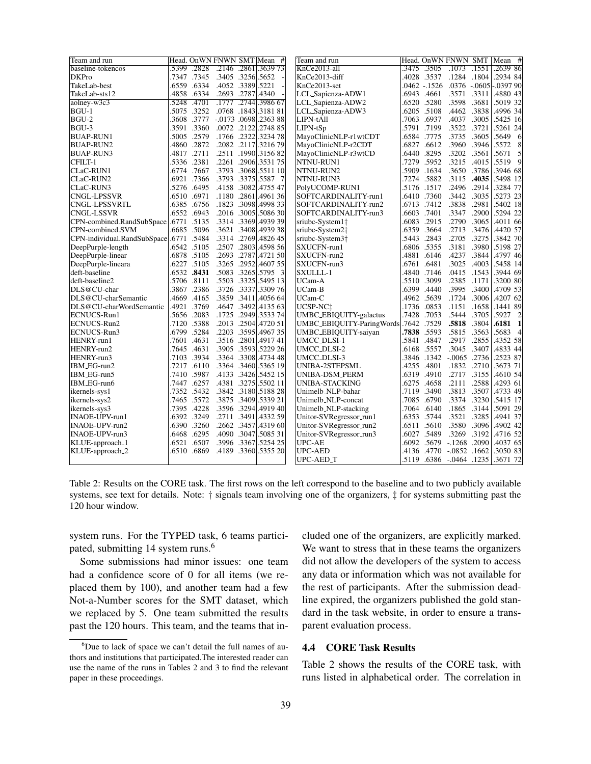| Team and run                |             |             |       |                   | Head. OnWN FNWN SMT Mean # | Team and run                |       |             | Head. OnWN FNWN SMT |       | #<br>Mean                         |
|-----------------------------|-------------|-------------|-------|-------------------|----------------------------|-----------------------------|-------|-------------|---------------------|-------|-----------------------------------|
| baseline-tokencos           |             | .5399 .2828 |       |                   | .2146 .2861 .3639 73       | KnCe2013-all                |       | .3475.3505  | .1073.1551          |       | .2639 86                          |
| <b>DKPro</b>                | .7347       | .7345       | .3405 | .3256.5652        |                            | KnCe2013-diff               | 4028  | .3537       | .1284               | .1804 | .2934 84                          |
| TakeLab-best                |             | .6559 .6334 |       | .4052 .3389 .5221 |                            | KnCe2013-set                |       | 0462 - 1526 |                     |       | $.0376$ $-.0605$ $-.0397$ 90      |
| TakeLab-sts12               | 4858        | .6334       |       | .2693. 2787.4340  |                            | LCL_Sapienza-ADW1           | .6943 | .4661       | .3571               | .3311 | .4880 43                          |
| aolney-w3c3                 | .5248       | .4701       |       |                   | .1777 .2744 .3986 67       | LCL_Sapienza-ADW2           |       | .6520 .5280 | .3598               | .3681 | .5019 32                          |
| BGU-1                       |             | .5075.3252  |       |                   | .0768.1843.318181          | LCL_Sapienza-ADW3           | .6205 | .5108       | .4462               | .3838 | .4996 34                          |
| BGU-2                       |             | 3608.3777   |       |                   | $-.0173$ .0698.2363 88     | LIPN-tAll                   | .7063 | .6937       | .4037               | .3005 | .5425 16                          |
| BGU-3                       |             | .3591 .3360 |       |                   | .0072.2122.2748.85         | LIPN-tSp                    |       | .5791 .7199 | .3522               | .3721 | .5261 24                          |
| <b>BUAP-RUN1</b>            | 5005        | .2579       |       |                   | .1766 .2322 .3234 78       | MayoClinicNLP-r1wtCDT       | .6584 | .7775       | .3735               | .3605 | .5649 6                           |
| <b>BUAP-RUN2</b>            |             | .4860 .2872 |       |                   | .2082.2117.321679          | MayoClinicNLP-r2CDT         | .6827 | .6612       | .3960               | .3946 | 8<br>.5572                        |
| <b>BUAP-RUN3</b>            | .4817       | .2711       | .2511 |                   | .1990 .3156 82             | MayoClinicNLP-r3wtCD        | .6440 | .8295       | .3202               | .3561 | 5<br>.5671                        |
| CFILT-1                     |             | .5336 .2381 | .2261 |                   | .2906.353175               | NTNU-RUN1                   | .7279 | .5952       | .3215               | .4015 | 9<br>.5519                        |
| <b>CLaC-RUN1</b>            |             | .6774.7667  | .3793 |                   | .3068.5511 10              | NTNU-RUN2                   | .5909 | .1634       | .3650               | .3786 | .3946 68                          |
| CLaC-RUN2                   |             | .6921 .7366 |       |                   | .3793 .3375 .5587 7        | NTNU-RUN3                   |       | .7274 .5882 | .3115               | .4035 | .5498 12                          |
| CLaC-RUN3                   |             | .5276 .6495 |       |                   | .4158 .3082 .4755 47       | PolyUCOMP-RUN1              | 5176. | .1517       | .2496               | .2914 | .3284 77                          |
| <b>CNGL-LPSSVR</b>          | .6510       | .6971       | .1180 |                   | .2861.4961.36              | SOFTCARDINALITY-run1        | .6410 | .7360       | .3442               |       | $.3035$ $.5273$ 23                |
| CNGL-LPSSVRTL               |             | .6385 .6756 |       |                   | .1823 .3098 .4998 33       | SOFTCARDINALITY-run2        |       | .6713.7412  | .3838               | .2981 | .5402 18                          |
| CNGL-LSSVR                  | .6552       | .6943       |       |                   | .2016 .3005 .5086 30       | SOFTCARDINALITY-run3        | .6603 | .7401       | .3347               | .2900 | .5294 22                          |
| CPN-combined.RandSubSpace   | .6771       | .5135       |       |                   | .3314 .3369 .4939 39       | sriubc-System1†             | .6083 | .2915       | .2790               | .3065 | .4011 66                          |
| CPN-combined.SVM            | .6685       | .5096       | .3621 |                   | .3408 .4939 38             | sriubc-System2†             | .6359 | .3664       | .2713               | .3476 | .4420 57                          |
| CPN-individual.RandSubSpace | .6771       | .5484       |       |                   | .3314 .2769 .4826 45       | sriubc-System3 <sup>+</sup> | 5443  | .2843       | .2705               | .3275 | .3842 70                          |
| DeepPurple-length           |             | .6542 .5105 |       |                   | .2507 .2803 .4598 56       | SXUCFN-run1                 |       | .6806 .5355 | .3181               | .3980 | .5198 27                          |
| DeepPurple-linear           |             | .6878 .5105 |       |                   | .2693 .2787 .4721 50       | SXUCFN-run2                 |       | .4881 .6146 | .4237               | .3844 | .4797 46                          |
| DeepPurple-lineara          |             | .6227 .5105 |       |                   | .3265 .2952 .4607 55       | SXUCFN-run3                 | .6761 | .6481       | .3025               | .4003 | .5458 14                          |
| deft-baseline               | .6532       | .8431       |       |                   | .5083 .3265.5795 3         | SXULLL-1                    | .4840 | .7146       | .0415               | .1543 | .3944 69                          |
| deft-baseline2              | .5706 .8111 |             |       |                   | .5503 .3325 .5495 13       | UCam-A                      |       | .5510 .3099 | .2385               | .1171 | .3200 80                          |
| DLS@CU-char                 | 3867        | .2386       | .3726 |                   | .3337.3309.76              | UCam-B                      | .6399 | .4440       | .3995               | .3400 | .4709 53                          |
| DLS@CU-charSemantic         |             | .4669 .4165 |       |                   | .3859 .3411 .4056 64       | UCam-C                      | .4962 | .5639       | .1724               | .3006 | .4207 62                          |
| DLS@CU-charWordSemantic     | .4921       | .3769       | .4647 |                   | .3492 .4135 63             | UCSP-NCt                    | .1736 | .0853       | .1151               | .1658 | .1441 89                          |
| ECNUCS-Run1                 |             | .5656 .2083 | .1725 |                   | .2949.3533.74              | UMBC_EBIQUITY-galactus      | .7428 | .7053       | .5444               | .3705 | $\overline{c}$<br>.5927           |
| ECNUCS-Run2                 |             | .7120 .5388 | .2013 |                   | .2504 .4720 51             | UMBC_EBIQUITY-ParingWords   | .7642 | .7529       | .5818               | .3804 | .6181<br>$\mathbf{1}$             |
| ECNUCS-Run3                 |             | .6799 .5284 |       |                   | .2203 .3595 .4967 35       | UMBC_EBIQUITY-saiyan        |       | .7838 .5593 | .5815               | .3563 | .5683<br>$\overline{4}$           |
| HENRY-run1                  | .7601       | .4631       |       |                   | .3516 .2801.4917 41        | UMCC_DLSI-1                 | .5841 | .4847       | .2917               | .2855 | .4352 58                          |
| HENRY-run2                  |             | .7645 .4631 |       |                   | .3905.5293.5229.26         | UMCC_DLSI-2                 | .6168 | .5557       | .3045               | .3407 | .4833 44                          |
| HENRY-run3                  |             | .7103 .3934 |       |                   | .3364 .3308 .4734 48       | UMCC_DLSI-3                 | 3846  | .1342       | $-.0065$ .2736      |       | .2523 87                          |
| IBM_EG-run2                 |             | .7217 .6110 |       |                   | .3364 .3460 .5365 .9       | UNIBA-2STEPSML              | .4255 | .4801       | .1832               | .2710 | .3673 71                          |
| IBM_EG-run5                 |             | .7410 .5987 |       |                   | .4133 .3426 .5452 .545     | UNIBA-DSM <sub>-</sub> PERM | .6319 | .4910       | .2717               | .3155 | .4610 54                          |
| IBM_EG-run6                 | .7447       | .6257       | .4381 |                   | .3275 .5502 11             | <b>UNIBA-STACKING</b>       | .6275 | .4658       | .2111               | .2588 | .4293 61                          |
| ikernels-sys1               |             | .7352 .5432 |       |                   | .3842 .3180.5188 28        | Unimelb_NLP-bahar           | .7119 | .3490       | .3813               | .3507 | .4733 49                          |
| ikernels-sys2               | .7465       | .5572       | .3875 |                   | .3409.5339 21              | Unimelb_NLP-concat          | .7085 | .6790       | .3374               | .3230 | .5415 17                          |
| ikernels-sys3               |             | .7395 .4228 |       |                   | .3596 .3294 .4919 40       | Unimelb_NLP-stacking        |       | .7064 .6140 | .1865               | .3144 | .5091 29                          |
| INAOE-UPV-run1              |             | .6392 .3249 | .2711 |                   | .3491 .4332 59             | Unitor-SVRegressor_run1     |       | .6353 .5744 | .3521               | .3285 | .4941 37                          |
| INAOE-UPV-run2              | .6390       | .3260       |       |                   | .2662 .3457 .4319 60       | Unitor-SVRegressor_run2     | .6511 | .5610       | .3580               | .3096 | .4902 42                          |
| INAOE-UPV-run3              | .6468       | .6295       |       |                   | .4090 .3047 .5085 31       | Unitor-SVRegressor_run3     | .6027 | .5489       | .3269               | .3192 | .4716 52                          |
| KLUE-approach_1             | .6521       | .6507       | .3996 |                   | .3367 .5254 25             | UPC-AE                      | .6092 | .5679       | $-.1268$            | .2090 | .4037 65                          |
| KLUE-approach_2             |             | .6510 .6869 |       |                   | .4189 .3360.5355 20        | UPC-AED                     | .4136 | .4770       | $-0852$ .1662       |       | .3050 83                          |
|                             |             |             |       |                   |                            | UPC-AED <sub>-T</sub>       |       |             |                     |       | .5119 .6386 -.0464 .1235 .3671 72 |

Table 2: Results on the CORE task. The first rows on the left correspond to the baseline and to two publicly available systems, see text for details. Note:  $\dagger$  signals team involving one of the organizers,  $\dagger$  for systems submitting past the 120 hour window.

system runs. For the TYPED task, 6 teams participated, submitting 14 system runs.<sup>6</sup>

Some submissions had minor issues: one team had a confidence score of 0 for all items (we replaced them by 100), and another team had a few Not-a-Number scores for the SMT dataset, which we replaced by 5. One team submitted the results past the 120 hours. This team, and the teams that included one of the organizers, are explicitly marked. We want to stress that in these teams the organizers did not allow the developers of the system to access any data or information which was not available for the rest of participants. After the submission deadline expired, the organizers published the gold standard in the task website, in order to ensure a transparent evaluation process.

## 4.4 CORE Task Results

Table 2 shows the results of the CORE task, with runs listed in alphabetical order. The correlation in

 ${}^{6}$ Due to lack of space we can't detail the full names of authors and institutions that participated.The interested reader can use the name of the runs in Tables 2 and 3 to find the relevant paper in these proceedings.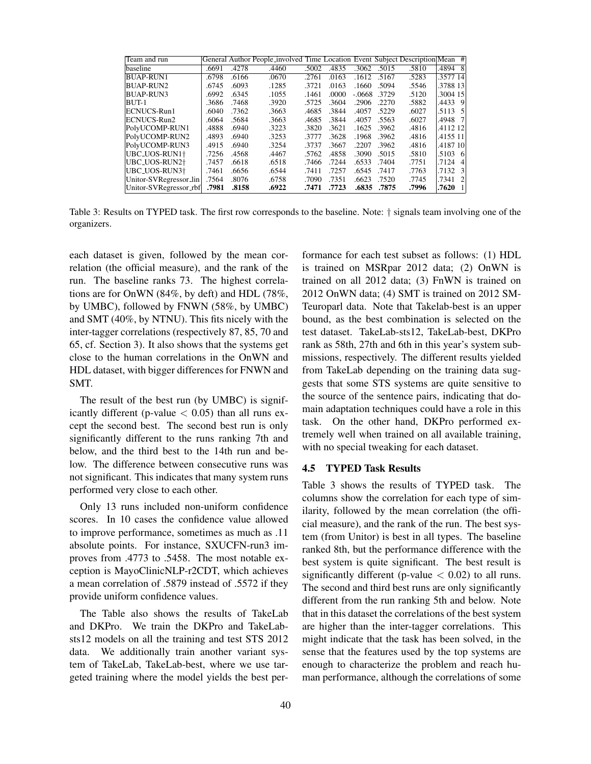| Team and run           |       |       | General Author People_involved Time Location Event Subject Description Mean # |       |       |        |       |       |          |                |
|------------------------|-------|-------|-------------------------------------------------------------------------------|-------|-------|--------|-------|-------|----------|----------------|
| <b>baseline</b>        | .6691 | .4278 | .4460                                                                         | .5002 | .4835 | .3062  | .5015 | .5810 | .4894 81 |                |
| <b>BUAP-RUN1</b>       | .6798 | .6166 | .0670                                                                         | .2761 | .0163 | .1612  | .5167 | .5283 | .3577 14 |                |
| BUAP-RUN2              | .6745 | .6093 | .1285                                                                         | .3721 | .0163 | .1660  | .5094 | .5546 | .3788 13 |                |
| BUAP-RUN3              | .6992 | .6345 | .1055                                                                         | .1461 | .0000 | -.0668 | .3729 | .5120 | .3004 15 |                |
| BUT-1                  | .3686 | .7468 | .3920                                                                         | .5725 | .3604 | .2906  | .2270 | .5882 | .4433 91 |                |
| ECNUCS-Run1            | .6040 | .7362 | .3663                                                                         | .4685 | .3844 | .4057  | .5229 | .6027 | .5113 5  |                |
| ECNUCS-Run2            | .6064 | .5684 | .3663                                                                         | .4685 | .3844 | .4057  | .5563 | .6027 | .4948 71 |                |
| PolyUCOMP-RUN1         | .4888 | .6940 | .3223                                                                         | .3820 | .3621 | .1625  | .3962 | .4816 | .4112 12 |                |
| PolyUCOMP-RUN2         | .4893 | .6940 | .3253                                                                         | .3777 | .3628 | .1968  | .3962 | .4816 | .4155 11 |                |
| PolyUCOMP-RUN3         | .4915 | .6940 | .3254                                                                         | .3737 | .3667 | .2207  | .3962 | .4816 | .4187 10 |                |
| UBC_UOS-RUN1†          | .7256 | .4568 | .4467                                                                         | .5762 | .4858 | .3090  | .5015 | .5810 | .5103 6  |                |
| UBC_UOS-RUN2†          | .7457 | .6618 | .6518                                                                         | .7466 | .7244 | .6533  | .7404 | .7751 | .7124    | $\vert$        |
| UBC_UOS-RUN3†          | .7461 | .6656 | .6544                                                                         | .7411 | .7257 | .6545  | .7417 | .7763 | .7132 3  |                |
| Unitor-SVRegressor_lin | .7564 | .8076 | .6758                                                                         | .7090 | .7351 | .6623  | .7520 | .7745 | .7341    | $\overline{2}$ |
| Unitor-SVRegressor_rbf | .7981 | .8158 | .6922                                                                         | .7471 | .7723 | .6835  | .7875 | .7996 | .7620    | -11            |

Table 3: Results on TYPED task. The first row corresponds to the baseline. Note: † signals team involving one of the organizers.

each dataset is given, followed by the mean correlation (the official measure), and the rank of the run. The baseline ranks 73. The highest correlations are for OnWN (84%, by deft) and HDL (78%, by UMBC), followed by FNWN (58%, by UMBC) and SMT (40%, by NTNU). This fits nicely with the inter-tagger correlations (respectively 87, 85, 70 and 65, cf. Section 3). It also shows that the systems get close to the human correlations in the OnWN and HDL dataset, with bigger differences for FNWN and SMT.

The result of the best run (by UMBC) is significantly different (p-value  $< 0.05$ ) than all runs except the second best. The second best run is only significantly different to the runs ranking 7th and below, and the third best to the 14th run and below. The difference between consecutive runs was not significant. This indicates that many system runs performed very close to each other.

Only 13 runs included non-uniform confidence scores. In 10 cases the confidence value allowed to improve performance, sometimes as much as .11 absolute points. For instance, SXUCFN-run3 improves from .4773 to .5458. The most notable exception is MayoClinicNLP-r2CDT, which achieves a mean correlation of .5879 instead of .5572 if they provide uniform confidence values.

The Table also shows the results of TakeLab and DKPro. We train the DKPro and TakeLabsts12 models on all the training and test STS 2012 data. We additionally train another variant system of TakeLab, TakeLab-best, where we use targeted training where the model yields the best performance for each test subset as follows: (1) HDL is trained on MSRpar 2012 data; (2) OnWN is trained on all 2012 data; (3) FnWN is trained on 2012 OnWN data; (4) SMT is trained on 2012 SM-Teuroparl data. Note that Takelab-best is an upper bound, as the best combination is selected on the test dataset. TakeLab-sts12, TakeLab-best, DKPro rank as 58th, 27th and 6th in this year's system submissions, respectively. The different results yielded from TakeLab depending on the training data suggests that some STS systems are quite sensitive to the source of the sentence pairs, indicating that domain adaptation techniques could have a role in this task. On the other hand, DKPro performed extremely well when trained on all available training, with no special tweaking for each dataset.

### 4.5 TYPED Task Results

Table 3 shows the results of TYPED task. The columns show the correlation for each type of similarity, followed by the mean correlation (the official measure), and the rank of the run. The best system (from Unitor) is best in all types. The baseline ranked 8th, but the performance difference with the best system is quite significant. The best result is significantly different (p-value  $< 0.02$ ) to all runs. The second and third best runs are only significantly different from the run ranking 5th and below. Note that in this dataset the correlations of the best system are higher than the inter-tagger correlations. This might indicate that the task has been solved, in the sense that the features used by the top systems are enough to characterize the problem and reach human performance, although the correlations of some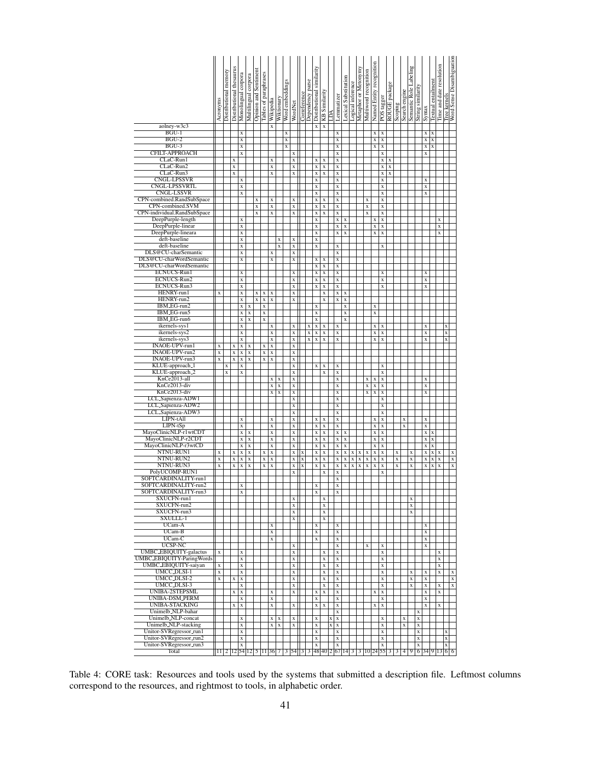|                                                            | Acronyms                                                                                                                                                                                                           | Distributional memory | Distributional thesaurus | Monolingual corpora                    | Multilingual corpora       | Opinion and Sentiment   | Tables of paraphrases   | Wikipedia                  | Wiktionary                 | Word embeddings | WordNet                                | Correference              | Dependency parse           | Distributional similarity              | KB Similarity                          | LРА         | Lemmatizer                             | <b>Lexical Substitution</b> | Logical inference       | Metaphor or Metonymy    | Multiword recognition                  | Named Entity recognition               | POS tagger                 | ROUGE package | Scoping                   | Search engine | Semantic Role Labeling     | String similarity          | Syntax                     | Textual entailment         | Time and date resolution   | Tree kernels               | Word Sense Disambiguation |
|------------------------------------------------------------|--------------------------------------------------------------------------------------------------------------------------------------------------------------------------------------------------------------------|-----------------------|--------------------------|----------------------------------------|----------------------------|-------------------------|-------------------------|----------------------------|----------------------------|-----------------|----------------------------------------|---------------------------|----------------------------|----------------------------------------|----------------------------------------|-------------|----------------------------------------|-----------------------------|-------------------------|-------------------------|----------------------------------------|----------------------------------------|----------------------------|---------------|---------------------------|---------------|----------------------------|----------------------------|----------------------------|----------------------------|----------------------------|----------------------------|---------------------------|
| aolney-w3c3<br>$BGU-1$                                     |                                                                                                                                                                                                                    |                       |                          | X                                      |                            |                         |                         | X                          |                            | $\mathbf X$     |                                        |                           |                            | $\bf{X}$                               | $\mathbf X$                            |             | $\mathbf X$                            |                             |                         |                         |                                        | x                                      | x                          |               |                           |               |                            |                            | $\mathbf x$                | X                          |                            |                            |                           |
| $BGU-2$                                                    |                                                                                                                                                                                                                    |                       |                          | $\overline{\mathbf{x}}$                |                            |                         |                         |                            |                            | X               |                                        |                           |                            |                                        |                                        |             | $\overline{\mathbf{x}}$                |                             |                         |                         |                                        | X                                      | $\mathbf X$                |               |                           |               |                            |                            | $\mathbf x$                | $\bf{X}$                   |                            |                            |                           |
| $BGU-3$                                                    |                                                                                                                                                                                                                    |                       |                          | X                                      |                            |                         |                         |                            |                            | $\bf{X}$        |                                        |                           |                            |                                        |                                        |             | X                                      |                             |                         |                         |                                        | $\bf{X}$                               | $\mathbf X$                |               |                           |               |                            |                            | $\mathbf X$                | $\bf{X}$                   |                            |                            |                           |
| CFILT-APPROACH<br>CLaC-Run1                                |                                                                                                                                                                                                                    |                       | $\mathbf x$              | X                                      |                            |                         |                         | $\mathbf X$                |                            |                 | X<br>X                                 |                           |                            | $\mathbf x$                            | $\mathbf X$                            |             | X<br>$\overline{\mathbf{x}}$           |                             |                         |                         |                                        |                                        | $\mathbf x$<br>X           | X             |                           |               |                            |                            | $\bf{X}$                   |                            |                            |                            |                           |
| CLaC-Run2                                                  |                                                                                                                                                                                                                    |                       | $\mathbf x$              |                                        |                            |                         |                         | $\mathbf X$                |                            |                 | $\mathbf X$                            |                           |                            | X                                      | $\mathbf X$                            |             | $\mathbf X$                            |                             |                         |                         |                                        |                                        | $\mathbf X$                | X             |                           |               |                            |                            |                            |                            |                            |                            |                           |
| CLaC-Run3                                                  |                                                                                                                                                                                                                    |                       | $\mathbf x$              |                                        |                            |                         |                         | $\mathbf x$                |                            |                 | $\mathbf X$                            |                           |                            | $\mathbf X$                            | $\overline{\mathbf{X}}$                |             | X                                      |                             |                         |                         |                                        |                                        | $\mathbf X$                | X             |                           |               |                            |                            |                            |                            |                            |                            |                           |
| <b>CNGL-LPSSVR</b>                                         |                                                                                                                                                                                                                    |                       |                          | X                                      |                            |                         |                         |                            |                            |                 |                                        |                           |                            | X                                      |                                        |             | X                                      |                             |                         |                         |                                        |                                        | $\mathbf X$                |               |                           |               |                            |                            | $\mathbf X$                |                            |                            |                            |                           |
| CNGL-LPSSVRTL<br><b>CNGL-LSSVR</b>                         |                                                                                                                                                                                                                    |                       |                          | X<br>X                                 |                            |                         |                         |                            |                            |                 |                                        |                           |                            | X<br>X                                 |                                        |             | X<br>X                                 |                             |                         |                         |                                        |                                        | X<br>$\mathbf X$           |               |                           |               |                            |                            | $\mathbf X$<br>$\mathbf x$ |                            |                            |                            |                           |
| CPN-combined.RandSubSpace                                  |                                                                                                                                                                                                                    |                       |                          |                                        |                            | $\mathbf X$             |                         | $\mathbf X$                |                            |                 | X                                      |                           |                            | $\mathbf x$                            | $\mathbf x$                            |             | $\mathbf X$                            |                             |                         |                         | $\mathbf x$                            |                                        | $\mathbf X$                |               |                           |               |                            |                            |                            |                            |                            |                            |                           |
| CPN-combined.SVM                                           |                                                                                                                                                                                                                    |                       |                          |                                        |                            | X                       |                         | $\mathbf X$                |                            |                 | X                                      |                           |                            | $\mathbf x$                            | X                                      |             | X                                      |                             |                         |                         | X                                      |                                        | X                          |               |                           |               |                            |                            |                            |                            |                            |                            |                           |
| CPN-individual.RandSubSpace<br>DeepPurple-length           |                                                                                                                                                                                                                    |                       |                          | X                                      |                            | $\overline{\mathbf{x}}$ |                         | $\overline{\mathbf{x}}$    |                            |                 | $\mathbf X$                            |                           |                            | X<br>$\mathbf X$                       | $\overline{\mathbf{x}}$                |             | $\overline{\mathbf{x}}$<br>X           | $\mathbf X$                 |                         |                         | $\overline{\mathbf{x}}$                | X                                      | $\mathbf X$<br>$\mathbf X$ |               |                           |               |                            |                            |                            |                            | X                          |                            |                           |
| DeepPurple-linear                                          |                                                                                                                                                                                                                    |                       |                          | X                                      |                            |                         |                         |                            |                            |                 |                                        |                           |                            | X                                      |                                        |             | X                                      | $\mathbf X$                 |                         |                         |                                        | X                                      | $\mathbf X$                |               |                           |               |                            |                            |                            |                            | X                          |                            |                           |
| DeepPurple-lineara                                         |                                                                                                                                                                                                                    |                       |                          | X                                      |                            |                         |                         |                            |                            |                 |                                        |                           |                            | $\mathbf X$                            |                                        |             | $\mathbf X$                            | $\overline{\mathbf{x}}$     |                         |                         |                                        | $\mathbf X$                            | $\mathbf x$                |               |                           |               |                            |                            |                            |                            | $\mathbf x$                |                            |                           |
| deft-baseline<br>deft-baseline                             |                                                                                                                                                                                                                    |                       |                          | X<br>$\overline{\mathbf{x}}$           |                            |                         |                         |                            | $\mathbf x$<br>X           |                 | X<br>$\overline{\mathbf{x}}$           |                           |                            | $\mathbf x$<br>$\overline{\mathbf{x}}$ |                                        |             | $\mathbf X$                            |                             |                         |                         |                                        |                                        | $\mathbf X$                |               |                           |               |                            |                            |                            |                            |                            |                            |                           |
| DLS@CU-charSemantic                                        |                                                                                                                                                                                                                    |                       |                          | X                                      |                            |                         |                         | $\mathbf X$                |                            |                 | X                                      |                           |                            |                                        |                                        |             | X                                      |                             |                         |                         |                                        |                                        |                            |               |                           |               |                            |                            |                            |                            |                            |                            |                           |
| DLS@CU-charWordSemantic                                    |                                                                                                                                                                                                                    |                       |                          | X                                      |                            |                         |                         | $\mathbf x$                |                            |                 | $\mathbf X$                            |                           |                            | X                                      | X                                      |             | X                                      |                             |                         |                         |                                        |                                        |                            |               |                           |               |                            |                            |                            |                            |                            |                            |                           |
| DLS@CU-charWordSemantic                                    |                                                                                                                                                                                                                    |                       |                          |                                        |                            |                         |                         |                            |                            |                 |                                        |                           |                            | $\mathbf x$                            | $\overline{\mathbf{X}}$                |             | $\overline{\mathbf{x}}$                |                             |                         |                         |                                        |                                        |                            |               |                           |               |                            |                            |                            |                            |                            |                            |                           |
| ECNUCS-Run1<br>ECNUCS-Run2                                 |                                                                                                                                                                                                                    |                       |                          | X<br>X                                 |                            |                         |                         |                            |                            |                 | $\mathbf x$<br>X                       |                           |                            | $\bar{\mathbf{x}}$<br>$\mathbf X$      | $\mathbf x$<br>$\overline{\mathbf{x}}$ |             | $\bar{\mathbf{x}}$<br>$\mathbf x$      |                             |                         |                         |                                        |                                        | X<br>X                     |               |                           |               |                            |                            | $\mathbf x$<br>X           |                            |                            |                            |                           |
| ECNUCS-Run3                                                |                                                                                                                                                                                                                    |                       |                          | X                                      |                            |                         |                         |                            |                            |                 | X                                      |                           |                            | $\mathbf X$                            | $\overline{\mathbf{x}}$                |             | X                                      |                             |                         |                         |                                        |                                        | $\mathbf X$                |               |                           |               |                            |                            | $\bf{X}$                   |                            |                            |                            |                           |
| HENRY-run1                                                 | X                                                                                                                                                                                                                  |                       |                          | X                                      |                            | X                       | $\mathbf X$             | $\mathbf X$                |                            |                 | X                                      |                           |                            |                                        | X                                      |             | X                                      | X                           |                         |                         |                                        |                                        |                            |               |                           |               |                            |                            |                            |                            |                            |                            |                           |
| HENRY-run2<br>IBM_EG-run2                                  |                                                                                                                                                                                                                    |                       |                          | $\overline{\mathbf{x}}$<br>X           |                            | $\overline{\mathbf{X}}$ | $\overline{\mathbf{X}}$ | $\overline{\mathbf{X}}$    |                            |                 | $\overline{\mathbf{X}}$                |                           |                            |                                        | $\overline{\mathbf{x}}$                |             | $\overline{\textbf{X}}$                | $\boldsymbol{\mathrm{X}}$   |                         |                         |                                        |                                        |                            |               |                           |               |                            |                            |                            |                            |                            |                            |                           |
| IBM_EG-run5                                                |                                                                                                                                                                                                                    |                       |                          | $\mathbf x$                            | X<br>$\mathbf x$           |                         | X<br>$\mathbf X$        |                            |                            |                 |                                        |                           |                            | $\mathbf X$<br>$\mathbf x$             |                                        |             |                                        | $\mathbf x$<br>$\mathbf x$  |                         |                         |                                        | $\mathbf X$<br>$\mathbf x$             |                            |               |                           |               |                            |                            |                            |                            |                            |                            |                           |
| IBM <sub>-EG-run6</sub>                                    |                                                                                                                                                                                                                    |                       |                          | X                                      | $\mathbf x$                |                         | $\mathbf x$             |                            |                            |                 |                                        |                           |                            | $\mathbf X$                            |                                        |             |                                        | $\mathbf X$                 |                         |                         |                                        |                                        |                            |               |                           |               |                            |                            |                            |                            |                            |                            |                           |
| ikernels-sys1                                              |                                                                                                                                                                                                                    |                       |                          | X                                      |                            |                         |                         | $\mathbf X$                |                            |                 | X                                      |                           | X                          | $\mathbf X$                            | $\mathbf X$                            |             | X                                      |                             |                         |                         |                                        | $\mathbf x$                            | $\mathbf X$                |               |                           |               |                            |                            | $\mathbf X$                |                            |                            | X                          |                           |
| ikernels-sys2<br>ikernels-sys3                             |                                                                                                                                                                                                                    |                       |                          | X<br>X                                 |                            |                         |                         | $\mathbf x$<br>$\mathbf X$ |                            |                 | X<br>X                                 |                           | $\mathbf x$<br>$\mathbf X$ | $\mathbf X$<br>$\mathbf x$             | $\mathbf X$<br>$\bf{X}$                |             | $\mathbf x$<br>X                       |                             |                         |                         |                                        | $\mathbf x$<br>X                       | $\mathbf x$<br>$\mathbf x$ |               |                           |               |                            |                            | $\mathbf X$<br>$\bf{X}$    |                            |                            | x<br>X                     |                           |
| INAOE-UPV-run1                                             | X                                                                                                                                                                                                                  |                       | $\mathbf X$              | $\mathbf x$                            | X                          |                         | $\mathbf x$             | $\mathbf X$                |                            |                 | $\mathbf X$                            |                           |                            |                                        |                                        |             |                                        |                             |                         |                         |                                        |                                        |                            |               |                           |               |                            |                            |                            |                            |                            |                            |                           |
| INAOE-UPV-run2                                             | $\overline{\mathbf{x}}$                                                                                                                                                                                            |                       | $\mathbf X$              | $\overline{\mathbf{X}}$                | $\mathbf X$                |                         | $\mathbf X$             | $\overline{\mathbf{X}}$    |                            |                 | $\mathbf X$                            |                           |                            |                                        |                                        |             |                                        |                             |                         |                         |                                        |                                        |                            |               |                           |               |                            |                            |                            |                            |                            |                            |                           |
| <b>INAOE-UPV-run3</b><br>KLUE-approach_1                   | X                                                                                                                                                                                                                  | X                     | $\mathbf X$              | X<br>X                                 | $\mathbf X$                |                         | $\mathbf x$             | $\overline{\mathbf{x}}$    |                            |                 | X<br>X                                 |                           |                            | $\mathbf x$                            | $\mathbf x$                            |             | X                                      |                             |                         |                         |                                        |                                        | X                          |               |                           |               |                            |                            |                            |                            |                            |                            |                           |
| KLUE-approach <sub>-2</sub>                                |                                                                                                                                                                                                                    | X                     |                          | X                                      |                            |                         |                         |                            |                            |                 | $\mathbf x$                            |                           |                            |                                        | $\mathbf X$                            |             | X                                      |                             |                         |                         |                                        |                                        | $\mathbf X$                |               |                           |               |                            |                            |                            |                            |                            |                            |                           |
| KnCe2013-all                                               |                                                                                                                                                                                                                    |                       |                          |                                        |                            |                         |                         | $\mathbf{x}$               | $\mathbf x$                |                 | $\mathbf X$                            |                           |                            |                                        |                                        |             | $\mathbf X$                            |                             |                         |                         | $\mathbf x$                            | $\mathbf x$                            | $\mathbf x$                |               |                           |               |                            |                            | X                          |                            |                            |                            |                           |
| KnCe2013-div<br>KnCe2013-div                               |                                                                                                                                                                                                                    |                       |                          |                                        |                            |                         |                         | $\mathbf X$<br>$\mathbf X$ | $\mathbf X$<br>$\mathbf X$ |                 | X<br>$\mathbf X$                       |                           |                            |                                        |                                        |             | X<br>X                                 |                             |                         |                         | $\overline{\mathbf{x}}$<br>$\mathbf X$ | $\overline{\mathbf{x}}$<br>$\mathbf X$ | $\mathbf x$<br>$\mathbf X$ |               |                           |               |                            |                            | $\mathbf x$<br>$\mathbf X$ |                            |                            |                            |                           |
| LCL_Sapienza-ADW1                                          |                                                                                                                                                                                                                    |                       |                          |                                        |                            |                         |                         |                            |                            |                 | $\mathbf x$                            |                           |                            |                                        |                                        |             | X                                      |                             |                         |                         |                                        |                                        | $\mathbf X$                |               |                           |               |                            |                            |                            |                            |                            |                            |                           |
| LCL_Sapienza-ADW2                                          |                                                                                                                                                                                                                    |                       |                          |                                        |                            |                         |                         |                            |                            |                 | X                                      |                           |                            |                                        |                                        |             | $\overline{\mathbf{x}}$                |                             |                         |                         |                                        |                                        | X                          |               |                           |               |                            |                            |                            |                            |                            |                            |                           |
| LCL_Sapienza-ADW3                                          |                                                                                                                                                                                                                    |                       |                          |                                        |                            |                         |                         |                            |                            |                 | X                                      |                           |                            |                                        |                                        |             | $\mathbf X$                            |                             |                         |                         |                                        |                                        | $\mathbf X$                |               |                           |               |                            |                            |                            |                            |                            |                            |                           |
| LIPN-tAll<br>$LIPN-tSp$                                    |                                                                                                                                                                                                                    |                       |                          | X<br>X                                 |                            |                         |                         | $\mathbf x$<br>$\mathbf x$ |                            |                 | $\mathbf X$<br>X                       |                           |                            | $\mathbf x$<br>X                       | $\mathbf X$<br>$\mathbf X$             |             | X<br>X                                 |                             |                         |                         |                                        | X<br>X                                 | $\mathbf x$<br>$\mathbf X$ |               |                           | X<br>X        |                            |                            | $\mathbf x$<br>$\mathbf X$ |                            |                            |                            |                           |
| MayoClinicNLP-r1wtCDT                                      |                                                                                                                                                                                                                    |                       |                          | X                                      | $\mathbf x$                |                         |                         | $\mathbf x$                |                            |                 | X                                      |                           |                            | X                                      | $\mathbf X$                            |             | $\mathbf x$                            | $\mathbf x$                 |                         |                         |                                        | X                                      | $\mathbf X$                |               |                           |               |                            |                            | $\mathbf X$                | X                          |                            |                            |                           |
| MayoClinicNLP-r2CDT                                        |                                                                                                                                                                                                                    |                       |                          | X                                      | $\mathbf X$                |                         |                         | $\mathbf x$                |                            |                 | X                                      |                           |                            | X                                      | $\mathbf x$                            |             | X                                      | $\mathbf X$                 |                         |                         |                                        | $\mathbf X$                            | $\mathbf X$                |               |                           |               |                            |                            | $\mathbf X$                | $\mathbf X$                |                            |                            |                           |
| MayoClinicNLP-r3wtCD<br>NTNU-RUN1                          | X                                                                                                                                                                                                                  |                       | X                        | $\mathbf X$<br>X                       | $\mathbf x$<br>$\mathbf x$ |                         | $\mathbf x$             | $\mathbf X$<br>$\mathbf x$ |                            |                 | $\mathbf x$<br>$\mathbf X$             | X                         |                            | $\mathbf x$<br>x                       | $\mathbf x$<br>$\mathbf x$             |             | $\mathbf x$<br>$\mathbf x$             | $\mathbf x$<br>$\mathbf x$  | $\mathbf X$             | x                       | $\bf{X}$                               | $\mathbf x$<br>$\mathbf x$             | $\mathbf X$<br>X           |               | X                         |               | X                          |                            | $\mathbf X$<br>$\mathbf x$ | $\mathbf X$<br>$\mathbf x$ | $\mathbf x$                |                            | $\mathbf x$               |
| NTNU-RUN2                                                  | $\overline{\mathbf{x}}$                                                                                                                                                                                            |                       | X                        | $\boldsymbol{\mathrm{x}}$              | $\mathbf x$                |                         | X                       | $\boldsymbol{\mathrm{x}}$  |                            |                 | $\boldsymbol{\mathrm{x}}$              | $\boldsymbol{\mathrm{x}}$ |                            | $\overline{\mathbf{X}}$                | $\overline{\mathbf{x}}$                |             | X                                      | $\mathbf x$                 | $\overline{\mathbf{x}}$ | $\mathbf x$             | $\boldsymbol{\mathrm{X}}$              | $\boldsymbol{\mathrm{x}}$              | $\mathbf X$                |               | $\boldsymbol{\mathrm{x}}$ |               | $\overline{\mathbf{X}}$    |                            | $\mathbf X$                | $\boldsymbol{\mathrm{X}}$  | $\mathbf x$                |                            | $\overline{\mathbf{x}}$   |
| NTNU-RUN3                                                  | $\overline{\mathbf{x}}$                                                                                                                                                                                            |                       | $\bar{\mathbf{x}}$       | $\overline{\mathbf{x}}$                | $\mathbf X$                |                         | $\mathbf x$             | $\overline{\mathbf{x}}$    |                            |                 | $\overline{\mathbf{x}}$                | $\bf x$                   |                            | $\mathbf X$                            | $\overline{\mathbf{x}}$                |             | X                                      | $\mathbf x$                 | $\overline{\mathbf{x}}$ | $\overline{\mathbf{x}}$ | $\overline{\mathbf{x}}$                | $\overline{\mathbf{x}}$                | X                          |               | $\overline{\mathbf{x}}$   |               | $\overline{\mathbf{x}}$    |                            | $\bf{X}$                   | $\overline{\mathbf{x}}$    | X                          |                            | X                         |
| PolyUCOMP-RUN1<br>SOFTCARDINALITY-run1                     |                                                                                                                                                                                                                    |                       |                          |                                        |                            |                         |                         |                            |                            |                 | X                                      |                           |                            |                                        | X                                      |             | X                                      |                             |                         |                         |                                        |                                        | X                          |               |                           |               |                            |                            |                            |                            |                            |                            |                           |
| SOFTCARDINALITY-run2                                       |                                                                                                                                                                                                                    |                       |                          | $\bar{x}$                              |                            |                         |                         |                            |                            |                 |                                        |                           |                            | $\mathbf x$                            |                                        |             | X<br>$\bar{x}$                         |                             |                         |                         |                                        |                                        |                            |               |                           |               |                            |                            |                            |                            |                            |                            |                           |
| SOFTCARDINALITY-run3                                       |                                                                                                                                                                                                                    |                       |                          | X                                      |                            |                         |                         |                            |                            |                 |                                        |                           |                            | $\overline{\textbf{X}}$                |                                        |             | $\mathbf X$                            |                             |                         |                         |                                        |                                        |                            |               |                           |               |                            |                            |                            |                            |                            |                            |                           |
| SXUCFN-run1<br>SXUCFN-run2                                 |                                                                                                                                                                                                                    |                       |                          |                                        |                            |                         |                         |                            |                            |                 | X<br>$\mathbf x$                       |                           |                            |                                        | $\mathbf x$<br>$\mathbf x$             |             |                                        |                             |                         |                         |                                        |                                        |                            |               |                           |               | $\mathbf x$<br>$\mathbf X$ |                            |                            |                            |                            |                            |                           |
| SXUCFN-run3                                                |                                                                                                                                                                                                                    |                       |                          |                                        |                            |                         |                         |                            |                            |                 | $\mathbf x$                            |                           |                            |                                        | $\mathbf x$                            |             |                                        |                             |                         |                         |                                        |                                        |                            |               |                           |               | $\overline{\mathbf{X}}$    |                            |                            |                            |                            |                            |                           |
| SXULLL-1                                                   |                                                                                                                                                                                                                    |                       |                          |                                        |                            |                         |                         |                            |                            |                 | $\mathbf x$                            |                           |                            |                                        | $\mathbf x$                            |             |                                        |                             |                         |                         |                                        |                                        |                            |               |                           |               |                            |                            |                            |                            |                            |                            |                           |
| UCam-A<br>$UCam-B$                                         |                                                                                                                                                                                                                    |                       |                          |                                        |                            |                         |                         | $\mathbf x$<br>$\mathbf X$ |                            |                 |                                        |                           |                            | $\mathbf x$<br>$\mathbf X$             |                                        |             | $\mathbf x$<br>$\mathbf X$             |                             |                         |                         |                                        |                                        |                            |               |                           |               |                            |                            | x<br>$\mathbf X$           |                            |                            |                            |                           |
| $UCam-C$                                                   |                                                                                                                                                                                                                    |                       |                          |                                        |                            |                         |                         | $\mathbf x$                |                            |                 |                                        |                           |                            | x                                      |                                        |             | $\mathbf X$                            |                             |                         |                         |                                        |                                        |                            |               |                           |               |                            |                            | $\mathbf X$                |                            |                            |                            |                           |
| UCSP-NC                                                    |                                                                                                                                                                                                                    |                       |                          |                                        |                            |                         |                         |                            |                            |                 | $\mathbf X$                            |                           |                            |                                        |                                        |             | $\mathbf X$                            |                             |                         |                         | $\mathbf x$                            |                                        | X                          |               |                           |               |                            |                            | $\overline{\mathbf{x}}$    |                            |                            |                            |                           |
| <b>UMBC_EBIQUITY-galactus</b><br>UMBC_EBIQUITY-ParingWords | $\mathbf x$                                                                                                                                                                                                        |                       |                          | $\mathbf X$                            |                            |                         |                         |                            |                            |                 | $\mathbf X$                            |                           |                            |                                        | $\mathbf x$                            |             | $\mathbf x$                            |                             |                         |                         |                                        |                                        | $\mathbf X$                |               |                           |               |                            |                            |                            |                            | $\mathbf x$                |                            |                           |
| UMBC_EBIQUITY-saiyan                                       | $\overline{\textbf{X}}$                                                                                                                                                                                            |                       |                          | $\mathbf X$<br>$\overline{\mathbf{X}}$ |                            |                         |                         |                            |                            |                 | $\mathbf x$<br>$\overline{\textbf{X}}$ |                           |                            |                                        | $\mathbf x$<br>$\overline{\mathbf{x}}$ |             | $\mathbf x$<br>$\overline{\textbf{X}}$ |                             |                         |                         |                                        |                                        | $\mathbf x$<br>$\mathbf x$ |               |                           |               |                            |                            |                            |                            | $\mathbf x$<br>X           |                            |                           |
| UMCC_DLSI-1                                                | $\mathbf x$                                                                                                                                                                                                        |                       |                          | $\mathbf X$                            |                            |                         |                         |                            |                            |                 | $\mathbf x$                            |                           |                            |                                        | X                                      |             | $\mathbf X$                            |                             |                         |                         |                                        |                                        | $\mathbf X$                |               |                           |               | $\mathbf X$                |                            | $\mathbf X$                |                            | $\mathbf X$                |                            | $\mathbf x$               |
| UMCC_DLSI-2<br><b>UMCC_DLSI-3</b>                          | $\bar{\mathbf{x}}$                                                                                                                                                                                                 |                       | $\mathbf x$              | $\mathbf x$                            |                            |                         |                         |                            |                            |                 | $\mathbf x$                            |                           |                            |                                        | $\mathbf x$                            |             | $\mathbf x$                            |                             |                         |                         |                                        |                                        | $\mathbf X$                |               |                           |               | $\mathbf X$                |                            | $\mathbf X$                |                            |                            |                            | $\mathbf X$               |
| UNIBA-2STEPSML                                             |                                                                                                                                                                                                                    |                       | $\mathbf x$              | $\mathbf x$<br>$\mathbf x$             |                            |                         |                         | $\mathbf x$                |                            |                 | $\mathbf x$<br>$\mathbf x$             |                           |                            | x                                      | $\mathbf x$<br>$\mathbf x$             |             | $\mathbf x$<br>$\mathbf x$             |                             |                         |                         |                                        | x                                      | $\mathbf x$<br>$\mathbf x$ |               |                           |               | $\mathbf x$                |                            | $\mathbf x$<br>$\mathbf x$ |                            | $\mathbf X$<br>$\mathbf x$ |                            | $\mathbf x$               |
| <b>UNIBA-DSM_PERM</b>                                      |                                                                                                                                                                                                                    |                       |                          | $\overline{\mathbf{X}}$                |                            |                         |                         | $\mathbf x$                |                            |                 |                                        |                           |                            | $\mathbf X$                            |                                        |             | $\mathbf X$                            |                             |                         |                         |                                        |                                        | $\mathbf x$                |               |                           |               |                            |                            | $\mathbf x$                |                            |                            |                            |                           |
| <b>UNIBA-STACKING</b>                                      |                                                                                                                                                                                                                    |                       | $\mathbf x$              | $\mathbf X$                            |                            |                         |                         | $\mathbf x$                |                            |                 | $\mathbf x$                            |                           |                            | x                                      | $\mathbf x$                            |             | $\mathbf X$                            |                             |                         |                         |                                        | $\mathbf x$                            | $\mathbf x$                |               |                           |               |                            |                            | $\mathbf x$                |                            | X                          |                            |                           |
| Unimelb_NLP-bahar<br>Unimelb_NLP-concat                    |                                                                                                                                                                                                                    |                       |                          | $\mathbf x$                            |                            |                         |                         | $x \mid x$                 |                            |                 | x                                      |                           |                            | $\mathbf x$                            |                                        | X           | $\mathbf X$<br>$\mathbf x$             |                             |                         |                         |                                        |                                        | $\mathbf X$                |               |                           | $\mathbf x$   |                            | $\mathbf X$<br>$\mathbf x$ |                            |                            |                            |                            |                           |
| Unimelb_NLP-stacking                                       |                                                                                                                                                                                                                    |                       |                          | $\mathbf x$                            |                            |                         |                         | $\mathbf{x}$               | $\mathbf x$                |                 | x                                      |                           |                            | $\mathbf x$                            |                                        | $\mathbf x$ | $\mathbf x$                            |                             |                         |                         |                                        |                                        | $\mathbf x$                |               |                           | $\mathbf x$   |                            | $\mathbf x$                |                            |                            |                            |                            |                           |
| Unitor-SVRegressor_run1                                    |                                                                                                                                                                                                                    |                       |                          | $\bar{\mathbf{x}}$                     |                            |                         |                         |                            |                            |                 |                                        |                           |                            | $\mathbf x$                            |                                        |             | $\bar{\mathbf{x}}$                     |                             |                         |                         |                                        |                                        | $\mathbf x$                |               |                           |               |                            | $\mathbf X$                |                            |                            |                            | X                          |                           |
| Unitor-SVRegressor_run2<br>Unitor-SVRegressor_run3         |                                                                                                                                                                                                                    |                       |                          | $\mathbf x$<br>X                       |                            |                         |                         |                            |                            |                 |                                        |                           |                            | $\mathbf X$<br>$\mathbf x$             |                                        |             | $\mathbf x$<br>$\mathbf X$             |                             |                         |                         |                                        |                                        | $\mathbf x$<br>$\mathbf X$ |               |                           |               |                            | $\mathbf x$<br>$\mathbf X$ |                            |                            |                            | $\mathbf x$<br>$\mathbf x$ |                           |
| Total                                                      | $\frac{11}{2}$ $\frac{12}{54}$ $\frac{12}{5}$ $\frac{11}{36}$ $\frac{7}{3}$ $\frac{54}{3}$ $\frac{3}{48}$ $\frac{48}{40}$ $\frac{2}{67}$ $\frac{14}{3}$ $\frac{3}{3}$ $\frac{10}{24}$ $\frac{55}{3}$ $\frac{3}{3}$ |                       |                          |                                        |                            |                         |                         |                            |                            |                 |                                        |                           |                            |                                        |                                        |             |                                        |                             |                         |                         |                                        |                                        |                            |               |                           | 4 9           |                            |                            |                            |                            | 6 34 9 13 6 6              |                            |                           |

Table 4: CORE task: Resources and tools used by the systems that submitted a description file. Leftmost columns correspond to the resources, and rightmost to tools, in alphabetic order.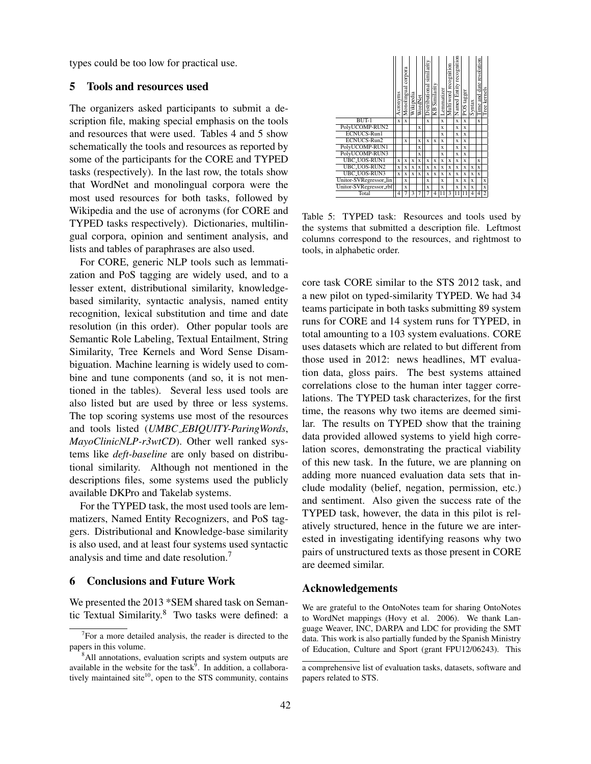types could be too low for practical use.

#### 5 Tools and resources used

The organizers asked participants to submit a description file, making special emphasis on the tools and resources that were used. Tables 4 and 5 show schematically the tools and resources as reported by some of the participants for the CORE and TYPED tasks (respectively). In the last row, the totals show that WordNet and monolingual corpora were the most used resources for both tasks, followed by Wikipedia and the use of acronyms (for CORE and TYPED tasks respectively). Dictionaries, multilingual corpora, opinion and sentiment analysis, and lists and tables of paraphrases are also used.

For CORE, generic NLP tools such as lemmatization and PoS tagging are widely used, and to a lesser extent, distributional similarity, knowledgebased similarity, syntactic analysis, named entity recognition, lexical substitution and time and date resolution (in this order). Other popular tools are Semantic Role Labeling, Textual Entailment, String Similarity, Tree Kernels and Word Sense Disambiguation. Machine learning is widely used to combine and tune components (and so, it is not mentioned in the tables). Several less used tools are also listed but are used by three or less systems. The top scoring systems use most of the resources and tools listed (*UMBC EBIQUITY-ParingWords*, *MayoClinicNLP-r3wtCD*). Other well ranked systems like *deft-baseline* are only based on distributional similarity. Although not mentioned in the descriptions files, some systems used the publicly available DKPro and Takelab systems.

For the TYPED task, the most used tools are lemmatizers, Named Entity Recognizers, and PoS taggers. Distributional and Knowledge-base similarity is also used, and at least four systems used syntactic analysis and time and date resolution.<sup>7</sup>

## 6 Conclusions and Future Work

We presented the 2013 \*SEM shared task on Semantic Textual Similarity.<sup>8</sup> Two tasks were defined: a



Table 5: TYPED task: Resources and tools used by the systems that submitted a description file. Leftmost columns correspond to the resources, and rightmost to tools, in alphabetic order.

core task CORE similar to the STS 2012 task, and a new pilot on typed-similarity TYPED. We had 34 teams participate in both tasks submitting 89 system runs for CORE and 14 system runs for TYPED, in total amounting to a 103 system evaluations. CORE uses datasets which are related to but different from those used in 2012: news headlines, MT evaluation data, gloss pairs. The best systems attained correlations close to the human inter tagger correlations. The TYPED task characterizes, for the first time, the reasons why two items are deemed similar. The results on TYPED show that the training data provided allowed systems to yield high correlation scores, demonstrating the practical viability of this new task. In the future, we are planning on adding more nuanced evaluation data sets that include modality (belief, negation, permission, etc.) and sentiment. Also given the success rate of the TYPED task, however, the data in this pilot is relatively structured, hence in the future we are interested in investigating identifying reasons why two pairs of unstructured texts as those present in CORE are deemed similar.

#### Acknowledgements

We are grateful to the OntoNotes team for sharing OntoNotes to WordNet mappings (Hovy et al. 2006). We thank Language Weaver, INC, DARPA and LDC for providing the SMT data. This work is also partially funded by the Spanish Ministry of Education, Culture and Sport (grant FPU12/06243). This

 $7$ For a more detailed analysis, the reader is directed to the papers in this volume.

<sup>&</sup>lt;sup>8</sup>All annotations, evaluation scripts and system outputs are available in the website for the task<sup>9</sup>. In addition, a collaboratively maintained site $10$ , open to the STS community, contains

a comprehensive list of evaluation tasks, datasets, software and papers related to STS.